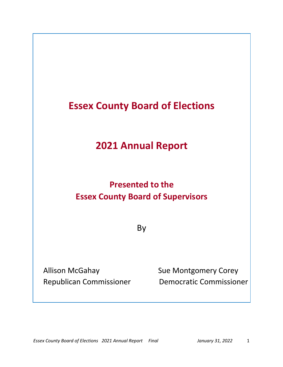# **Essex County Board of Elections**

# **2021 Annual Report**

### **Presented to the Essex County Board of Supervisors**

By

Allison McGahay Sue Montgomery Corey

Republican Commissioner Democratic Commissioner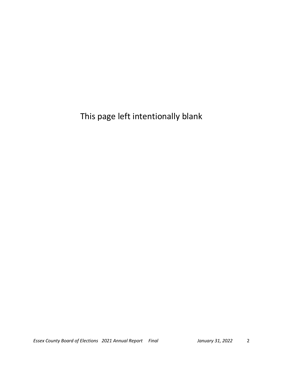This page left intentionally blank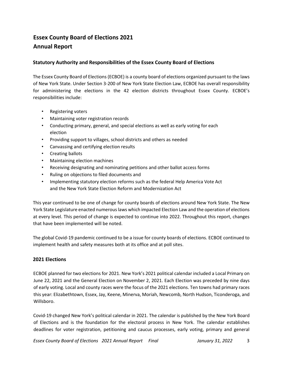### **Essex County Board of Elections 2021 Annual Report**

#### **Statutory Authority and Responsibilities of the Essex County Board of Elections**

The Essex County Board of Elections (ECBOE) is a county board of elections organized pursuant to the laws of New York State. Under Section 3-200 of New York State Election Law, ECBOE has overall responsibility for administering the elections in the 42 election districts throughout Essex County. ECBOE's responsibilities include:

- Registering voters
- Maintaining voter registration records
- Conducting primary, general, and special elections as well as early voting for each election
- Providing support to villages, school districts and others as needed
- Canvassing and certifying election results
- Creating ballots
- Maintaining election machines
- Receiving designating and nominating petitions and other ballot access forms
- Ruling on objections to filed documents and
- Implementing statutory election reforms such as the federal Help America Vote Act and the New York State Election Reform and Modernization Act

This year continued to be one of change for county boards of elections around New York State. The New York State Legislature enacted numerous laws which impacted Election Law and the operation of elections at every level. This period of change is expected to continue into 2022. Throughout this report, changes that have been implemented will be noted.

The global Covid-19 pandemic continued to be a issue for county boards of elections. ECBOE continued to implement health and safety measures both at its office and at poll sites.

#### **2021 Elections**

ECBOE planned for two elections for 2021. New York's 2021 political calendar included a Local Primary on June 22, 2021 and the General Election on November 2, 2021. Each Election was preceded by nine days of early voting. Local and county races were the focus of the 2021 elections. Ten towns had primary races this year: Elizabethtown, Essex, Jay, Keene, Minerva, Moriah, Newcomb, North Hudson, Ticonderoga, and Willsboro.

Covid-19 changed New York's political calendar in 2021. The calendar is published by the New York Board of Elections and is the foundation for the electoral process in New York. The calendar establishes deadlines for voter registration, petitioning and caucus processes, early voting, primary and general

*Essex County Board of Elections 2021 Annual Report Final January 31, 2022* 3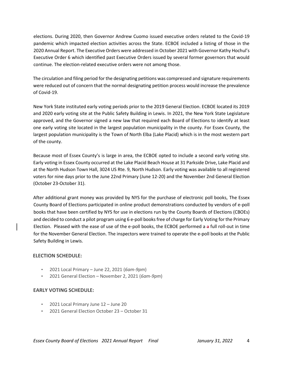elections. During 2020, then Governor Andrew Cuomo issued executive orders related to the Covid-19 pandemic which impacted election activities across the State. ECBOE included a listing of those in the 2020 Annual Report. The Executive Orders were addressed in October 2021 with Governor Kathy Hochul's Executive Order 6 which identified past Executive Orders issued by several former governors that would continue. The election-related executive orders were not among those.

The circulation and filing period for the designating petitions was compressed and signature requirements were reduced out of concern that the normal designating petition process would increase the prevalence of Covid-19.

New York State instituted early voting periods prior to the 2019 General Election. ECBOE located its 2019 and 2020 early voting site at the Public Safety Building in Lewis. In 2021, the New York State Legislature approved, and the Governor signed a new law that required each Board of Elections to identify at least one early voting site located in the largest population municipality in the county. For Essex County, the largest population municipality is the Town of North Elba (Lake Placid) which is in the most western part of the county.

Because most of Essex County's is large in area, the ECBOE opted to include a second early voting site. Early voting in Essex County occurred at the Lake Placid Beach House at 31 Parkside Drive, Lake Placid and at the North Hudson Town Hall, 3024 US Rte. 9, North Hudson. Early voting was available to all registered voters for nine days prior to the June 22nd Primary (June 12-20) and the November 2nd General Election (October 23-October 31).

After additional grant money was provided by NYS for the purchase of electronic poll books, The Essex County Board of Elections participated in online product demonstrations conducted by vendors of e-poll books that have been certified by NYS for use in elections run by the County Boards of Elections (CBOEs) and decided to conduct a pilot program using 6 e-poll books free of charge for Early Voting for the Primary Election. Pleased with the ease of use of the e-poll books, the ECBOE performed a a full roll-out in time for the November General Election. The inspectors were trained to operate the e-poll books at the Public Safety Building in Lewis.

#### **ELECTION SCHEDULE:**

- 2021 Local Primary June 22, 2021 (*6am-9pm*)
- 2021 General Election November 2, 2021 (*6am-9pm*)

#### **EARLY VOTING SCHEDULE:**

- 2021 Local Primary June 12 June 20
- 2021 General Election October 23 October 31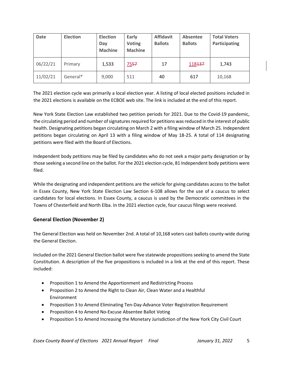| <b>Date</b> | <b>Election</b> | <b>Election</b><br>Day<br><b>Machine</b> | Early<br><b>Voting</b><br><b>Machine</b> | <b>Affidavit</b><br><b>Ballots</b> | Absentee<br><b>Ballots</b> | <b>Total Voters</b><br>Participating |
|-------------|-----------------|------------------------------------------|------------------------------------------|------------------------------------|----------------------------|--------------------------------------|
| 06/22/21    | Primary         | 1,533                                    | <u>75<del>57</del></u>                   | 17                                 | 118 <del>137</del>         | 1,743                                |
| 11/02/21    | General*        | 9,000                                    | 511                                      | 40                                 | 617                        | 10,168                               |

The 2021 election cycle was primarily a local election year. A listing of local elected positions included in the 2021 elections is available on the ECBOE web site. The link is included at the end of this report.

New York State Election Law established two petition periods for 2021. Due to the Covid-19 pandemic, the circulating period and number of signatures required for petitions was reduced in the interest of public health. Designating petitions began circulating on March 2 with a filing window of March 25. Independent petitions began circulating on April 13 with a filing window of May 18-25. A total of 114 designating petitions were filed with the Board of Elections.

Independent body petitions may be filed by candidates who do not seek a major party designation or by those seeking a second line on the ballot. For the 2021 election cycle, 81 Independent body petitions were filed.

While the designating and independent petitions are the vehicle for giving candidates access to the ballot in Essex County, New York State Election Law Section 6-108 allows for the use of a caucus to select candidates for local elections. In Essex County, a caucus is used by the Democratic committees in the Towns of Chesterfield and North Elba. In the 2021 election cycle, four caucus filings were received.

#### **General Election (November 2)**

The General Election was held on November 2nd. A total of 10,168 voters cast ballots county-wide during the General Election.

Included on the 2021 General Election ballot were five statewide propositions seeking to amend the State Constitution. A description of the five propositions is included in a link at the end of this report. These included:

- Proposition 1 to Amend the Apportionment and Redistricting Process
- Proposition 2 to Amend the Right to Clean Air, Clean Water and a Healthful Environment
- Proposition 3 to Amend Eliminating Ten-Day-Advance Voter Registration Requirement
- Proposition 4 to Amend No-Excuse Absentee Ballot Voting
- Proposition 5 to Amend Increasing the Monetary Jurisdiction of the New York City Civil Court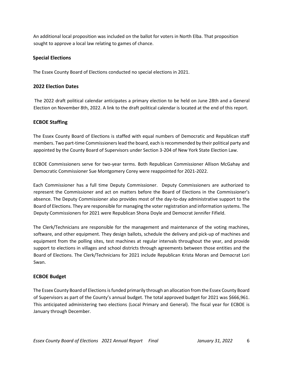An additional local proposition was included on the ballot for voters in North Elba. That proposition sought to approve a local law relating to games of chance.

#### **Special Elections**

The Essex County Board of Elections conducted no special elections in 2021.

#### **2022 Election Dates**

The 2022 draft political calendar anticipates a primary election to be held on June 28th and a General Election on November 8th, 2022. A link to the draft political calendar is located at the end of this report.

#### **ECBOE Staffing**

The Essex County Board of Elections is staffed with equal numbers of Democratic and Republican staff members. Two part-time Commissioners lead the board, each is recommended by their political party and appointed by the County Board of Supervisors under Section 3-204 of New York State Election Law.

ECBOE Commissioners serve for two-year terms. Both Republican Commissioner Allison McGahay and Democratic Commissioner Sue Montgomery Corey were reappointed for 2021-2022.

Each Commissioner has a full time Deputy Commissioner. Deputy Commissioners are authorized to represent the Commissioner and act on matters before the Board of Elections in the Commissioner's absence. The Deputy Commissioner also provides most of the day-to-day administrative support to the Board of Elections. They are responsible for managing the voter registration and information systems. The Deputy Commissioners for 2021 were Republican Shona Doyle and Democrat Jennifer Fifield.

The Clerk/Technicians are responsible for the management and maintenance of the voting machines, software, and other equipment. They design ballots, schedule the delivery and pick-up of machines and equipment from the polling sites, test machines at regular intervals throughout the year, and provide support to elections in villages and school districts through agreements between those entities and the Board of Elections. The Clerk/Technicians for 2021 include Republican Krista Moran and Democrat Lori Swan.

#### **ECBOE Budget**

The Essex County Board of Elections is funded primarily through an allocation from the Essex County Board of Supervisors as part of the County's annual budget. The total approved budget for 2021 was \$666,961. This anticipated administering two elections (Local Primary and General). The fiscal year for ECBOE is January through December.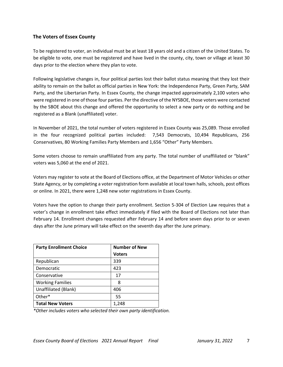#### **The Voters of Essex County**

To be registered to voter, an individual must be at least 18 years old and a citizen of the United States. To be eligible to vote, one must be registered and have lived in the county, city, town or village at least 30 days prior to the election where they plan to vote.

Following legislative changes in, four political parties lost their ballot status meaning that they lost their ability to remain on the ballot as official parties in New York: the Independence Party, Green Party, SAM Party, and the Libertarian Party. In Essex County, the change impacted approximately 2,100 voters who were registered in one of those four parties. Per the directive of the NYSBOE, those voters were contacted by the SBOE about this change and offered the opportunity to select a new party or do nothing and be registered as a Blank (unaffiliated) voter.

In November of 2021, the total number of voters registered in Essex County was 25,089. Those enrolled in the four recognized political parties included: 7,543 Democrats, 10,494 Republicans, 256 Conservatives, 80 Working Families Party Members and 1,656 "Other" Party Members.

Some voters choose to remain unaffiliated from any party. The total number of unaffiliated or "blank" voters was 5,060 at the end of 2021.

Voters may register to vote at the Board of Elections office, at the Department of Motor Vehicles or other State Agency, or by completing a voter registration form available at local town halls, schools, post offices or online. In 2021, there were 1,248 new voter registrations in Essex County.

Voters have the option to change their party enrollment. Section 5-304 of Election Law requires that a voter's change in enrollment take effect immediately if filed with the Board of Elections not later than February 14. Enrollment changes requested after February 14 and before seven days prior to or seven days after the June primary will take effect on the seventh day after the June primary.

| <b>Party Enrollment Choice</b> | <b>Number of New</b><br><b>Voters</b> |
|--------------------------------|---------------------------------------|
| Republican                     | 339                                   |
| Democratic                     | 423                                   |
| Conservative                   | 17                                    |
| <b>Working Families</b>        | 8                                     |
| Unaffiliated (Blank)           | 406                                   |
| Other*                         | 55                                    |
| <b>Total New Voters</b>        | 1,248                                 |

*\*Other includes voters who selected their own party identification.*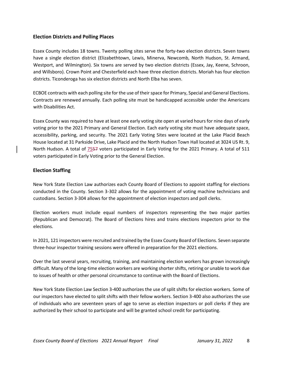#### **Election Districts and Polling Places**

Essex County includes 18 towns. Twenty polling sites serve the forty-two election districts. Seven towns have a single election district (Elizabethtown, Lewis, Minerva, Newcomb, North Hudson, St. Armand, Westport, and Wilmington). Six towns are served by two election districts (Essex, Jay, Keene, Schroon, and Willsboro). Crown Point and Chesterfield each have three election districts. Moriah has four election districts. Ticonderoga has six election districts and North Elba has seven.

ECBOE contracts with each polling site for the use of their space for Primary, Special and General Elections. Contracts are renewed annually. Each polling site must be handicapped accessible under the Americans with Disabilities Act.

Essex County was required to have at least one early voting site open at varied hours for nine days of early voting prior to the 2021 Primary and General Election. Each early voting site must have adequate space, accessibility, parking, and security. The 2021 Early Voting Sites were located at the Lake Placid Beach House located at 31 Parkside Drive, Lake Placid and the North Hudson Town Hall located at 3024 US Rt. 9, North Hudson. A total of 7557 voters participated in Early Voting for the 2021 Primary. A total of 511 voters participated in Early Voting prior to the General Election.

#### **Election Staffing**

New York State Election Law authorizes each County Board of Elections to appoint staffing for elections conducted in the County. Section 3-302 allows for the appointment of voting machine technicians and custodians. Section 3-304 allows for the appointment of election inspectors and poll clerks.

Election workers must include equal numbers of inspectors representing the two major parties (Republican and Democrat). The Board of Elections hires and trains elections inspectors prior to the elections.

In 2021, 121 inspectors were recruited and trained by the Essex County Board of Elections. Seven separate three-hour inspector training sessions were offered in preparation for the 2021 elections.

Over the last several years, recruiting, training, and maintaining election workers has grown increasingly difficult. Many of the long-time election workers are working shorter shifts, retiring or unable to work due to issues of health or other personal circumstance to continue with the Board of Elections.

New York State Election Law Section 3-400 authorizes the use of split shifts for election workers. Some of our inspectors have elected to split shifts with their fellow workers. Section 3-400 also authorizes the use of individuals who are seventeen years of age to serve as election inspectors or poll clerks if they are authorized by their school to participate and will be granted school credit for participating.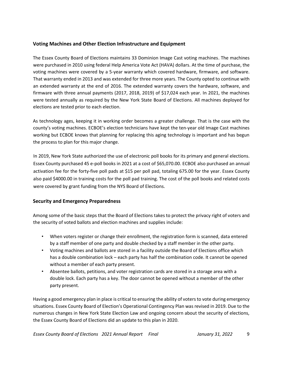#### **Voting Machines and Other Election Infrastructure and Equipment**

The Essex County Board of Elections maintains 33 Dominion Image Cast voting machines. The machines were purchased in 2010 using federal Help America Vote Act (HAVA) dollars. At the time of purchase, the voting machines were covered by a 5-year warranty which covered hardware, firmware, and software. That warranty ended in 2013 and was extended for three more years. The County opted to continue with an extended warranty at the end of 2016. The extended warranty covers the hardware, software, and firmware with three annual payments (2017, 2018, 2019) of \$17,024 each year. In 2021, the machines were tested annually as required by the New York State Board of Elections. All machines deployed for elections are tested prior to each election.

As technology ages, keeping it in working order becomes a greater challenge. That is the case with the county's voting machines. ECBOE's election technicians have kept the ten-year old Image Cast machines working but ECBOE knows that planning for replacing this aging technology is important and has begun the process to plan for this major change.

In 2019, New York State authorized the use of electronic poll books for its primary and general elections. Essex County purchased 45 e-poll books in 2021 at a cost of \$65,070.00. ECBOE also purchased an annual activation fee for the forty-five poll pads at \$15 per poll pad, totaling 675.00 for the year. Essex County also paid \$4000.00 in training costs for the poll pad training. The cost of the poll books and related costs were covered by grant funding from the NYS Board of Elections.

#### **Security and Emergency Preparedness**

Among some of the basic steps that the Board of Elections takes to protect the privacy right of voters and the security of voted ballots and election machines and supplies include:

- When voters register or change their enrollment, the registration form is scanned, data entered by a staff member of one party and double checked by a staff member in the other party.
- Voting machines and ballots are stored in a facility outside the Board of Elections office which has a double combination lock – each party has half the combination code. It cannot be opened without a member of each party present.
- Absentee ballots, petitions, and voter registration cards are stored in a storage area with a double lock. Each party has a key. The door cannot be opened without a member of the other party present.

Having a good emergency plan in place is critical to ensuring the ability of voters to vote during emergency situations. Essex County Board of Election's Operational Contingency Plan was revised in 2019. Due to the numerous changes in New York State Election Law and ongoing concern about the security of elections, the Essex County Board of Elections did an update to this plan in 2020.